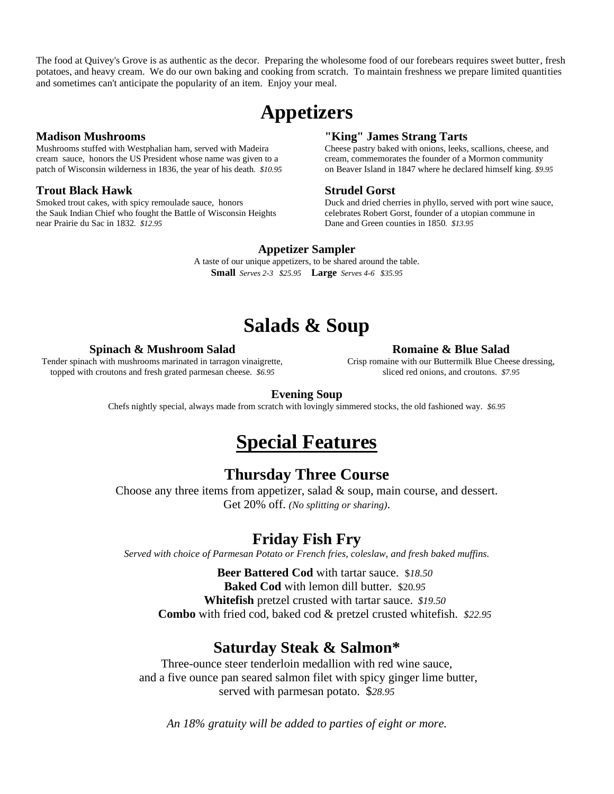The food at Quivey's Grove is as authentic as the decor. Preparing the wholesome food of our forebears requires sweet butter, fresh potatoes, and heavy cream. We do our own baking and cooking from scratch. To maintain freshness we prepare limited quantities and sometimes can't anticipate the popularity of an item. Enjoy your meal.

# **Appetizers**

### **Madison Mushrooms**

Mushrooms stuffed with Westphalian ham, served with Madeira cream sauce, honors the US President whose name was given to a patch of Wisconsin wilderness in 1836, the year of his death*. \$10.95*

### **Trout Black Hawk**

Smoked trout cakes, with spicy remoulade sauce, honors the Sauk Indian Chief who fought the Battle of Wisconsin Heights near Prairie du Sac in 1832*. \$12.95*

### **"King" James Strang Tarts**

Cheese pastry baked with onions, leeks, scallions, cheese, and cream, commemorates the founder of a Mormon community on Beaver Island in 1847 where he declared himself king*. \$9.95*

#### **Strudel Gorst**

Duck and dried cherries in phyllo, served with port wine sauce, celebrates Robert Gorst, founder of a utopian commune in Dane and Green counties in 1850*. \$13.95*

#### **Appetizer Sampler**

A taste of our unique appetizers, to be shared around the table. **Small** *Serves 2-3 \$25.95* **Large** *Serves 4-6 \$35.95*

# **Salads & Soup**

#### **Spinach & Mushroom Salad**

Tender spinach with mushrooms marinated in tarragon vinaigrette, topped with croutons and fresh grated parmesan cheese. *\$6.95*

#### **Romaine & Blue Salad**

Crisp romaine with our Buttermilk Blue Cheese dressing, sliced red onions, and croutons. *\$7.95*

### **Evening Soup**

Chefs nightly special, always made from scratch with lovingly simmered stocks, the old fashioned way. *\$6.95*

# **Special Features**

### **Thursday Three Course**

Choose any three items from appetizer, salad & soup, main course, and dessert. Get 20% off. *(No splitting or sharing)*.

### **Friday Fish Fry**

*Served with choice of Parmesan Potato or French fries, coleslaw, and fresh baked muffins.*

**Beer Battered Cod** with tartar sauce. \$*18.50* **Baked Cod** with lemon dill butter. \$20*.95* **Whitefish** pretzel crusted with tartar sauce. *\$19.50* **Combo** with fried cod, baked cod & pretzel crusted whitefish. *\$22.95*

### **Saturday Steak & Salmon\***

Three-ounce steer tenderloin medallion with red wine sauce, and a five ounce pan seared salmon filet with spicy ginger lime butter, served with parmesan potato. \$*28.95* 

*An 18% gratuity will be added to parties of eight or more.*